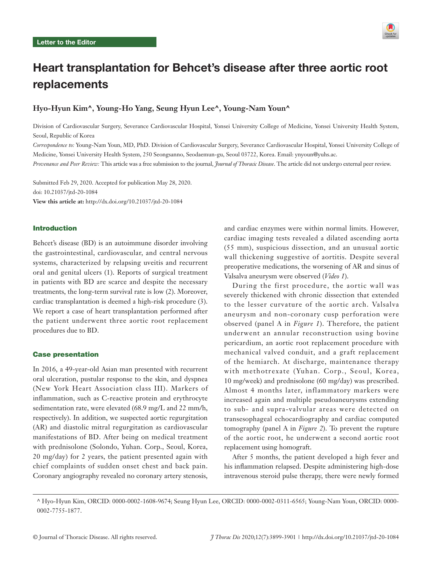

# Heart transplantation for Behcet's disease after three aortic root replacements

# **Hyo-Hyun Kim^, Young-Ho Yang, Seung Hyun Lee^, Young-Nam Youn^**

Division of Cardiovascular Surgery, Severance Cardiovascular Hospital, Yonsei University College of Medicine, Yonsei University Health System, Seoul, Republic of Korea

*Correspondence to:* Young-Nam Youn, MD, PhD. Division of Cardiovascular Surgery, Severance Cardiovascular Hospital, Yonsei University College of Medicine, Yonsei University Health System, 250 Seongsanno, Seodaemun-gu, Seoul 03722, Korea. Email: ynyoun@yuhs.ac.

*Provenance and Peer Review:* This article was a free submission to the journal, *Journal of Thoracic Disease*. The article did not undergo external peer review.

Submitted Feb 29, 2020. Accepted for publication May 28, 2020. doi: 10.21037/jtd-20-1084 **View this article at:** http://dx.doi.org/10.21037/jtd-20-1084

## Introduction

Behcet's disease (BD) is an autoimmune disorder involving the gastrointestinal, cardiovascular, and central nervous systems, characterized by relapsing uveitis and recurrent oral and genital ulcers (1). Reports of surgical treatment in patients with BD are scarce and despite the necessary treatments, the long-term survival rate is low (2). Moreover, cardiac transplantation is deemed a high-risk procedure (3). We report a case of heart transplantation performed after the patient underwent three aortic root replacement procedures due to BD.

#### Case presentation

In 2016, a 49-year-old Asian man presented with recurrent oral ulceration, pustular response to the skin, and dyspnea (New York Heart Association class III). Markers of inflammation, such as C-reactive protein and erythrocyte sedimentation rate, were elevated (68.9 mg/L and 22 mm/h, respectively). In addition, we suspected aortic regurgitation (AR) and diastolic mitral regurgitation as cardiovascular manifestations of BD. After being on medical treatment with prednisolone (Solondo, Yuhan. Corp., Seoul, Korea, 20 mg/day) for 2 years, the patient presented again with chief complaints of sudden onset chest and back pain. Coronary angiography revealed no coronary artery stenosis,

and cardiac enzymes were within normal limits. However, cardiac imaging tests revealed a dilated ascending aorta (55 mm), suspicious dissection, and an unusual aortic wall thickening suggestive of aortitis. Despite several preoperative medications, the worsening of AR and sinus of Valsalva aneurysm were observed (*Video 1*).

During the first procedure, the aortic wall was severely thickened with chronic dissection that extended to the lesser curvature of the aortic arch. Valsalva aneurysm and non-coronary cusp perforation were observed (panel A in *Figure 1*). Therefore, the patient underwent an annular reconstruction using bovine pericardium, an aortic root replacement procedure with mechanical valved conduit, and a graft replacement of the hemiarch. At discharge, maintenance therapy with methotrexate (Yuhan. Corp., Seoul, Korea, 10 mg/week) and prednisolone (60 mg/day) was prescribed. Almost 4 months later, inflammatory markers were increased again and multiple pseudoaneurysms extending to sub- and supra-valvular areas were detected on transesophageal echocardiography and cardiac computed tomography (panel A in *Figure 2*). To prevent the rupture of the aortic root, he underwent a second aortic root replacement using homograft.

After 5 months, the patient developed a high fever and his inflammation relapsed. Despite administering high-dose intravenous steroid pulse therapy, there were newly formed

<sup>^</sup> Hyo-Hyun Kim, ORCID: 0000-0002-1608-9674; Seung Hyun Lee, ORCID: 0000-0002-0311-6565; Young-Nam Youn, ORCID: 0000- 0002-7755-1877.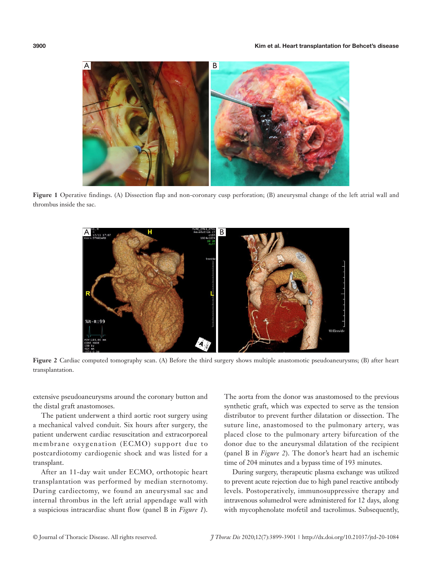

**Figure 1** Operative findings. (A) Dissection flap and non-coronary cusp perforation; (B) aneurysmal change of the left atrial wall and thrombus inside the sac.



**Figure 2** Cardiac computed tomography scan. (A) Before the third surgery shows multiple anastomotic pseudoaneurysms; (B) after heart transplantation.

extensive pseudoaneurysms around the coronary button and the distal graft anastomoses.

The patient underwent a third aortic root surgery using a mechanical valved conduit. Six hours after surgery, the patient underwent cardiac resuscitation and extracorporeal membrane oxygenation (ECMO) support due to postcardiotomy cardiogenic shock and was listed for a transplant.

After an 11-day wait under ECMO, orthotopic heart transplantation was performed by median sternotomy. During cardiectomy, we found an aneurysmal sac and internal thrombus in the left atrial appendage wall with a suspicious intracardiac shunt flow (panel B in *Figure 1*).

The aorta from the donor was anastomosed to the previous synthetic graft, which was expected to serve as the tension distributor to prevent further dilatation or dissection. The suture line, anastomosed to the pulmonary artery, was placed close to the pulmonary artery bifurcation of the donor due to the aneurysmal dilatation of the recipient (panel B in *Figure 2*). The donor's heart had an ischemic time of 204 minutes and a bypass time of 193 minutes.

During surgery, therapeutic plasma exchange was utilized to prevent acute rejection due to high panel reactive antibody levels. Postoperatively, immunosuppressive therapy and intravenous solumedrol were administered for 12 days, along with mycophenolate mofetil and tacrolimus. Subsequently,